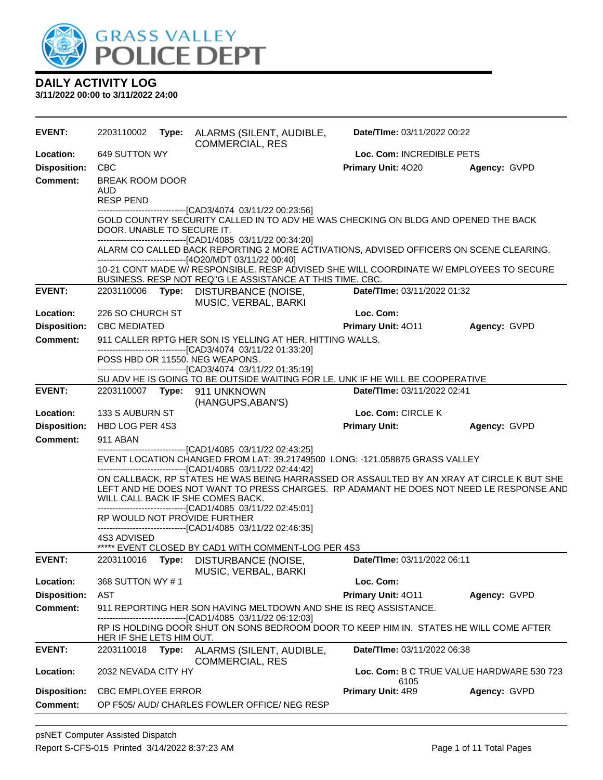

| <b>EVENT:</b>       | 2203110002                                 |       | Type: ALARMS (SILENT, AUDIBLE,<br><b>COMMERCIAL, RES</b>                                                                                                                                                                                                                                                                           | Date/TIme: 03/11/2022 00:22        |                                           |
|---------------------|--------------------------------------------|-------|------------------------------------------------------------------------------------------------------------------------------------------------------------------------------------------------------------------------------------------------------------------------------------------------------------------------------------|------------------------------------|-------------------------------------------|
| Location:           | Loc. Com: INCREDIBLE PETS<br>649 SUTTON WY |       |                                                                                                                                                                                                                                                                                                                                    |                                    |                                           |
| <b>Disposition:</b> | <b>CBC</b>                                 |       |                                                                                                                                                                                                                                                                                                                                    | Primary Unit: 4020                 | Agency: GVPD                              |
| <b>Comment:</b>     | BREAK ROOM DOOR<br>AUD<br><b>RESP PEND</b> |       |                                                                                                                                                                                                                                                                                                                                    |                                    |                                           |
|                     | DOOR. UNABLE TO SECURE IT.                 |       | -------------------------------[CAD3/4074_03/11/22 00:23:56]<br>GOLD COUNTRY SECURITY CALLED IN TO ADV HE WAS CHECKING ON BLDG AND OPENED THE BACK<br>-------------------------------[CAD1/4085 03/11/22 00:34:20]                                                                                                                 |                                    |                                           |
|                     |                                            |       | ALARM CO CALLED BACK REPORTING 2 MORE ACTIVATIONS, ADVISED OFFICERS ON SCENE CLEARING.                                                                                                                                                                                                                                             |                                    |                                           |
|                     |                                            |       | ------------------------------[4O20/MDT 03/11/22 00:40]<br>10-21 CONT MADE W/ RESPONSIBLE. RESP ADVISED SHE WILL COORDINATE W/ EMPLOYEES TO SECURE<br>BUSINESS. RESP NOT REQ"G LE ASSISTANCE AT THIS TIME. CBC.                                                                                                                    |                                    |                                           |
| <b>EVENT:</b>       | 2203110006                                 |       | Type: DISTURBANCE (NOISE,<br>MUSIC, VERBAL, BARKI                                                                                                                                                                                                                                                                                  | Date/TIme: 03/11/2022 01:32        |                                           |
| Location:           | 226 SO CHURCH ST                           |       |                                                                                                                                                                                                                                                                                                                                    | Loc. Com:                          |                                           |
| <b>Disposition:</b> | <b>CBC MEDIATED</b>                        |       |                                                                                                                                                                                                                                                                                                                                    | <b>Primary Unit: 4011</b>          | Agency: GVPD                              |
| <b>Comment:</b>     |                                            |       | 911 CALLER RPTG HER SON IS YELLING AT HER, HITTING WALLS.<br>-------------------------------[CAD3/4074 03/11/22 01:33:20]                                                                                                                                                                                                          |                                    |                                           |
|                     |                                            |       | POSS HBD OR 11550. NEG WEAPONS.                                                                                                                                                                                                                                                                                                    |                                    |                                           |
|                     |                                            |       | -------------------------------[CAD3/4074_03/11/22 01:35:19]<br>SU ADV HE IS GOING TO BE OUTSIDE WAITING FOR LE. UNK IF HE WILL BE COOPERATIVE                                                                                                                                                                                     |                                    |                                           |
| <b>EVENT:</b>       |                                            |       | 2203110007    Type: 911    UNKNOWN                                                                                                                                                                                                                                                                                                 | Date/TIme: 03/11/2022 02:41        |                                           |
|                     |                                            |       | (HANGUPS, ABAN'S)                                                                                                                                                                                                                                                                                                                  |                                    |                                           |
| Location:           | 133 S AUBURN ST                            |       |                                                                                                                                                                                                                                                                                                                                    | Loc. Com: CIRCLE K                 |                                           |
|                     |                                            |       |                                                                                                                                                                                                                                                                                                                                    |                                    |                                           |
| <b>Disposition:</b> | HBD LOG PER 4S3                            |       |                                                                                                                                                                                                                                                                                                                                    | <b>Primary Unit:</b>               | Agency: GVPD                              |
| <b>Comment:</b>     | 911 ABAN                                   |       |                                                                                                                                                                                                                                                                                                                                    |                                    |                                           |
|                     |                                            |       | --------------------------------[CAD1/4085 03/11/22 02:43:25]                                                                                                                                                                                                                                                                      |                                    |                                           |
|                     |                                            |       | EVENT LOCATION CHANGED FROM LAT: 39.21749500 LONG: -121.058875 GRASS VALLEY<br>------------------------------[CAD1/4085 03/11/22 02:44:42]<br>ON CALLBACK, RP STATES HE WAS BEING HARRASSED OR ASSAULTED BY AN XRAY AT CIRCLE K BUT SHE<br>LEFT AND HE DOES NOT WANT TO PRESS CHARGES. RP ADAMANT HE DOES NOT NEED LE RESPONSE AND |                                    |                                           |
|                     |                                            |       | WILL CALL BACK IF SHE COMES BACK.<br>-------------------------------[CAD1/4085 03/11/22 02:45:01]<br>RP WOULD NOT PROVIDE FURTHER                                                                                                                                                                                                  |                                    |                                           |
|                     | 4S3 ADVISED                                |       | --------------------------------[CAD1/4085 03/11/22 02:46:35]                                                                                                                                                                                                                                                                      |                                    |                                           |
|                     |                                            |       | ***** EVENT CLOSED BY CAD1 WITH COMMENT-LOG PER 4S3                                                                                                                                                                                                                                                                                |                                    |                                           |
| <b>EVENT:</b>       | 2203110016                                 | Type: | DISTURBANCE (NOISE,<br>MUSIC, VERBAL, BARKI                                                                                                                                                                                                                                                                                        | <b>Date/Time: 03/11/2022 06:11</b> |                                           |
| Location:           | 368 SUTTON WY #1                           |       |                                                                                                                                                                                                                                                                                                                                    | Loc. Com:                          |                                           |
| <b>Disposition:</b> | AST                                        |       |                                                                                                                                                                                                                                                                                                                                    | Primary Unit: 4011                 | Agency: GVPD                              |
| <b>Comment:</b>     |                                            |       | 911 REPORTING HER SON HAVING MELTDOWN AND SHE IS REQ ASSISTANCE.                                                                                                                                                                                                                                                                   |                                    |                                           |
|                     | HER IF SHE LETS HIM OUT.                   |       | ---[CAD1/4085 03/11/22 06:12:03]<br>RP IS HOLDING DOOR SHUT ON SONS BEDROOM DOOR TO KEEP HIM IN. STATES HE WILL COME AFTER                                                                                                                                                                                                         |                                    |                                           |
| <b>EVENT:</b>       | 2203110018                                 | Type: | ALARMS (SILENT, AUDIBLE,                                                                                                                                                                                                                                                                                                           | Date/TIme: 03/11/2022 06:38        |                                           |
| Location:           | 2032 NEVADA CITY HY                        |       | <b>COMMERCIAL, RES</b>                                                                                                                                                                                                                                                                                                             |                                    | Loc. Com: B C TRUE VALUE HARDWARE 530 723 |
| <b>Disposition:</b> | <b>CBC EMPLOYEE ERROR</b>                  |       |                                                                                                                                                                                                                                                                                                                                    | 6105<br>Primary Unit: 4R9          | Agency: GVPD                              |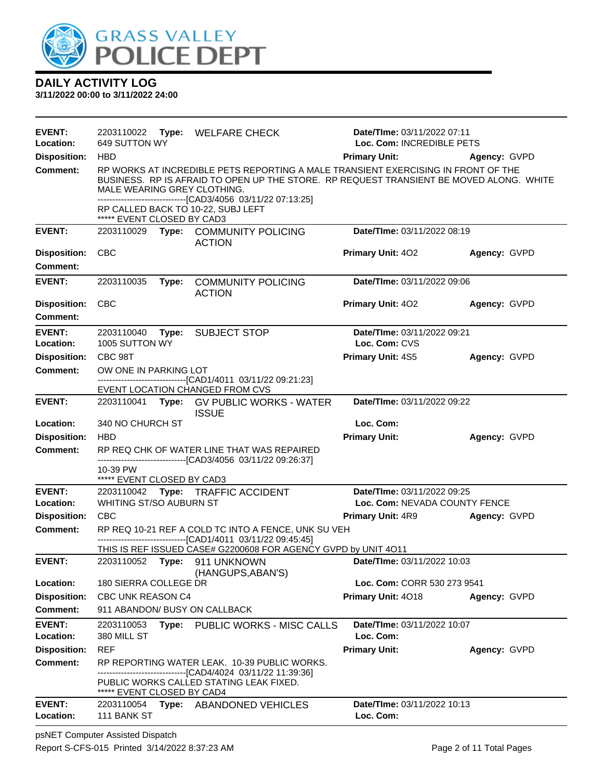

**3/11/2022 00:00 to 3/11/2022 24:00**

| <b>EVENT:</b><br>Location: | 649 SUTTON WY               |       | 2203110022 Type: WELFARE CHECK                                                                                                                                               | Date/TIme: 03/11/2022 07:11<br>Loc. Com: INCREDIBLE PETS |              |
|----------------------------|-----------------------------|-------|------------------------------------------------------------------------------------------------------------------------------------------------------------------------------|----------------------------------------------------------|--------------|
| <b>Disposition:</b>        | <b>HBD</b>                  |       |                                                                                                                                                                              | <b>Primary Unit:</b>                                     | Agency: GVPD |
| <b>Comment:</b>            | MALE WEARING GREY CLOTHING. |       | RP WORKS AT INCREDIBLE PETS REPORTING A MALE TRANSIENT EXERCISING IN FRONT OF THE<br>BUSINESS. RP IS AFRAID TO OPEN UP THE STORE. RP REQUEST TRANSIENT BE MOVED ALONG. WHITE |                                                          |              |
|                            | ***** EVENT CLOSED BY CAD3  |       | -------------------------------[CAD3/4056 03/11/22 07:13:25]<br>RP CALLED BACK TO 10-22, SUBJ LEFT                                                                           |                                                          |              |
| <b>EVENT:</b>              | 2203110029                  |       | Type: COMMUNITY POLICING<br><b>ACTION</b>                                                                                                                                    | Date/TIme: 03/11/2022 08:19                              |              |
| <b>Disposition:</b>        | <b>CBC</b>                  |       |                                                                                                                                                                              | <b>Primary Unit: 402</b>                                 | Agency: GVPD |
| <b>Comment:</b>            |                             |       |                                                                                                                                                                              |                                                          |              |
| <b>EVENT:</b>              | 2203110035                  | Type: | <b>COMMUNITY POLICING</b><br><b>ACTION</b>                                                                                                                                   | Date/TIme: 03/11/2022 09:06                              |              |
| <b>Disposition:</b>        | <b>CBC</b>                  |       |                                                                                                                                                                              | Primary Unit: 402                                        | Agency: GVPD |
| <b>Comment:</b>            |                             |       |                                                                                                                                                                              |                                                          |              |
| <b>EVENT:</b>              | 2203110040                  |       | Type: SUBJECT STOP                                                                                                                                                           | Date/TIme: 03/11/2022 09:21                              |              |
| Location:                  | 1005 SUTTON WY              |       |                                                                                                                                                                              | Loc. Com: CVS                                            |              |
| <b>Disposition:</b>        | CBC 98T                     |       |                                                                                                                                                                              | <b>Primary Unit: 4S5</b>                                 | Agency: GVPD |
| <b>Comment:</b>            | OW ONE IN PARKING LOT       |       | ---------------------------------[CAD1/4011 03/11/22 09:21:23]                                                                                                               |                                                          |              |
|                            |                             |       | EVENT LOCATION CHANGED FROM CVS                                                                                                                                              |                                                          |              |
| <b>EVENT:</b>              |                             |       | 2203110041 Type: GV PUBLIC WORKS - WATER<br><b>ISSUE</b>                                                                                                                     | Date/TIme: 03/11/2022 09:22                              |              |
| Location:                  | 340 NO CHURCH ST            |       |                                                                                                                                                                              | Loc. Com:                                                |              |
| <b>Disposition:</b>        | <b>HBD</b>                  |       |                                                                                                                                                                              | <b>Primary Unit:</b>                                     | Agency: GVPD |
| <b>Comment:</b>            |                             |       | RP REQ CHK OF WATER LINE THAT WAS REPAIRED                                                                                                                                   |                                                          |              |
|                            | 10-39 PW                    |       | ------------------------------[CAD3/4056 03/11/22 09:26:37]                                                                                                                  |                                                          |              |
|                            | ***** EVENT CLOSED BY CAD3  |       |                                                                                                                                                                              |                                                          |              |
| <b>EVENT:</b>              |                             |       | 2203110042 Type: TRAFFIC ACCIDENT                                                                                                                                            | Date/TIme: 03/11/2022 09:25                              |              |
| Location:                  | WHITING ST/SO AUBURN ST     |       |                                                                                                                                                                              | Loc. Com: NEVADA COUNTY FENCE                            |              |
| <b>Disposition:</b>        | <b>CBC</b>                  |       |                                                                                                                                                                              | <b>Primary Unit: 4R9</b>                                 | Agency: GVPD |
| <b>Comment:</b>            |                             |       | RP REQ 10-21 REF A COLD TC INTO A FENCE, UNK SU VEH<br>-------------------------------[CAD1/4011 03/11/22 09:45:45]                                                          |                                                          |              |
|                            |                             |       | THIS IS REF ISSUED CASE# G2200608 FOR AGENCY GVPD by UNIT 4O11                                                                                                               |                                                          |              |
| <b>EVENT:</b>              |                             |       | 2203110052 Type: 911 UNKNOWN<br>(HANGUPS, ABAN'S)                                                                                                                            | Date/TIme: 03/11/2022 10:03                              |              |
| Location:                  | 180 SIERRA COLLEGE DR       |       |                                                                                                                                                                              | Loc. Com: CORR 530 273 9541                              |              |
| <b>Disposition:</b>        | <b>CBC UNK REASON C4</b>    |       |                                                                                                                                                                              | Primary Unit: 4018                                       | Agency: GVPD |
| <b>Comment:</b>            |                             |       | 911 ABANDON/ BUSY ON CALLBACK                                                                                                                                                |                                                          |              |
| <b>EVENT:</b>              | 2203110053                  |       | Type: PUBLIC WORKS - MISC CALLS                                                                                                                                              | <b>Date/TIme: 03/11/2022 10:07</b>                       |              |
| Location:                  | 380 MILL ST                 |       |                                                                                                                                                                              | Loc. Com:                                                |              |
| <b>Disposition:</b>        | <b>REF</b>                  |       |                                                                                                                                                                              | <b>Primary Unit:</b>                                     | Agency: GVPD |
| Comment:                   |                             |       | RP REPORTING WATER LEAK. 10-39 PUBLIC WORKS.<br>-------------------------------[CAD4/4024 03/11/22 11:39:36]                                                                 |                                                          |              |
|                            | ***** EVENT CLOSED BY CAD4  |       | PUBLIC WORKS CALLED STATING LEAK FIXED.                                                                                                                                      |                                                          |              |
| <b>EVENT:</b>              | 2203110054                  |       | Type: ABANDONED VEHICLES                                                                                                                                                     | Date/TIme: 03/11/2022 10:13                              |              |
| Location:                  | 111 BANK ST                 |       |                                                                                                                                                                              | Loc. Com:                                                |              |

psNET Computer Assisted Dispatch Report S-CFS-015 Printed 3/14/2022 8:37:23 AM Page 2 of 11 Total Pages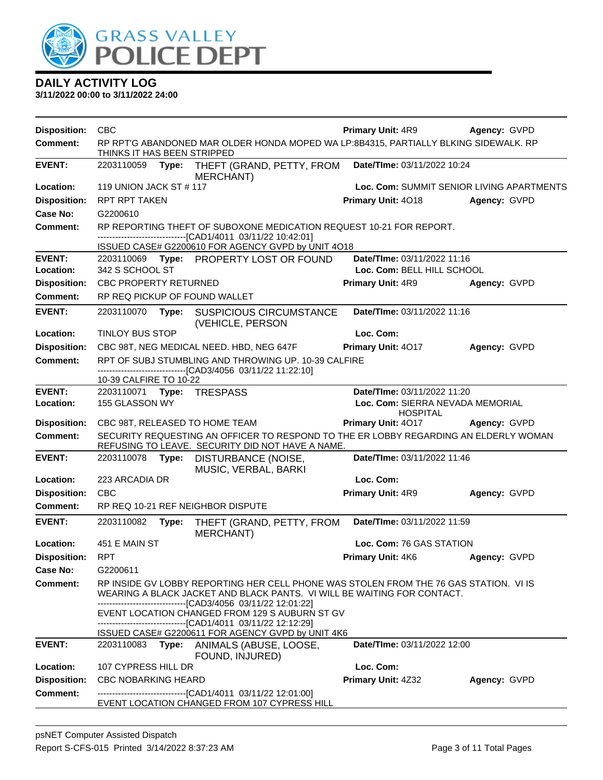

| <b>Disposition:</b>        | <b>CBC</b>                                                                                                                                                                                                                                                                  | <b>Primary Unit: 4R9</b>                                                           | Agency: GVPD |
|----------------------------|-----------------------------------------------------------------------------------------------------------------------------------------------------------------------------------------------------------------------------------------------------------------------------|------------------------------------------------------------------------------------|--------------|
| <b>Comment:</b>            | RP RPT'G ABANDONED MAR OLDER HONDA MOPED WA LP:8B4315, PARTIALLY BLKING SIDEWALK. RP<br>THINKS IT HAS BEEN STRIPPED                                                                                                                                                         |                                                                                    |              |
| <b>EVENT:</b>              | 2203110059 Type: THEFT (GRAND, PETTY, FROM<br>MERCHANT)                                                                                                                                                                                                                     | Date/TIme: 03/11/2022 10:24                                                        |              |
| Location:                  | 119 UNION JACK ST # 117                                                                                                                                                                                                                                                     | Loc. Com: SUMMIT SENIOR LIVING APARTMENTS                                          |              |
| <b>Disposition:</b>        | RPT RPT TAKEN                                                                                                                                                                                                                                                               | Primary Unit: 4018                                                                 | Agency: GVPD |
| Case No:                   | G2200610                                                                                                                                                                                                                                                                    |                                                                                    |              |
| <b>Comment:</b>            | RP REPORTING THEFT OF SUBOXONE MEDICATION REQUEST 10-21 FOR REPORT.<br>---------------------------------[CAD1/4011 03/11/22 10:42:01]<br>ISSUED CASE# G2200610 FOR AGENCY GVPD by UNIT 4018                                                                                 |                                                                                    |              |
| <b>EVENT:</b>              | 2203110069 Type: PROPERTY LOST OR FOUND                                                                                                                                                                                                                                     | Date/TIme: 03/11/2022 11:16                                                        |              |
| Location:                  | 342 S SCHOOL ST                                                                                                                                                                                                                                                             | Loc. Com: BELL HILL SCHOOL                                                         |              |
| <b>Disposition:</b>        | <b>CBC PROPERTY RETURNED</b>                                                                                                                                                                                                                                                | <b>Primary Unit: 4R9</b>                                                           | Agency: GVPD |
| <b>Comment:</b>            | RP REQ PICKUP OF FOUND WALLET                                                                                                                                                                                                                                               |                                                                                    |              |
| <b>EVENT:</b>              | 2203110070<br><b>SUSPICIOUS CIRCUMSTANCE</b><br>Type:<br>(VEHICLE, PERSON                                                                                                                                                                                                   | Date/TIme: 03/11/2022 11:16                                                        |              |
| Location:                  | TINLOY BUS STOP                                                                                                                                                                                                                                                             | Loc. Com:                                                                          |              |
| <b>Disposition:</b>        | CBC 98T, NEG MEDICAL NEED. HBD, NEG 647F                                                                                                                                                                                                                                    | Primary Unit: 4017                                                                 | Agency: GVPD |
| <b>Comment:</b>            | RPT OF SUBJ STUMBLING AND THROWING UP. 10-39 CALFIRE<br>-------------------------------[CAD3/4056 03/11/22 11:22:10]                                                                                                                                                        |                                                                                    |              |
|                            | 10-39 CALFIRE TO 10-22                                                                                                                                                                                                                                                      |                                                                                    |              |
| <b>EVENT:</b><br>Location: | 2203110071 Type: TRESPASS<br>155 GLASSON WY                                                                                                                                                                                                                                 | Date/TIme: 03/11/2022 11:20<br>Loc. Com: SIERRA NEVADA MEMORIAL<br><b>HOSPITAL</b> |              |
| <b>Disposition:</b>        | CBC 98T, RELEASED TO HOME TEAM                                                                                                                                                                                                                                              | Primary Unit: 4017                                                                 | Agency: GVPD |
| Comment:                   | SECURITY REQUESTING AN OFFICER TO RESPOND TO THE ER LOBBY REGARDING AN ELDERLY WOMAN<br>REFUSING TO LEAVE. SECURITY DID NOT HAVE A NAME.                                                                                                                                    |                                                                                    |              |
| <b>EVENT:</b>              | 2203110078 Type:<br>DISTURBANCE (NOISE,<br>MUSIC, VERBAL, BARKI                                                                                                                                                                                                             | Date/TIme: 03/11/2022 11:46                                                        |              |
| Location:                  | 223 ARCADIA DR                                                                                                                                                                                                                                                              | Loc. Com:                                                                          |              |
| <b>Disposition:</b>        | <b>CBC</b>                                                                                                                                                                                                                                                                  | Primary Unit: 4R9                                                                  | Agency: GVPD |
| <b>Comment:</b>            | RP REQ 10-21 REF NEIGHBOR DISPUTE                                                                                                                                                                                                                                           |                                                                                    |              |
| <b>EVENT:</b>              | 2203110082<br>Type:<br>THEFT (GRAND, PETTY, FROM<br><b>MERCHANT)</b>                                                                                                                                                                                                        | Date/TIme: 03/11/2022 11:59                                                        |              |
| Location:                  | 451 E MAIN ST                                                                                                                                                                                                                                                               | Loc. Com: 76 GAS STATION                                                           |              |
| <b>Disposition:</b>        | <b>RPT</b>                                                                                                                                                                                                                                                                  | <b>Primary Unit: 4K6</b>                                                           | Agency: GVPD |
| Case No:                   | G2200611                                                                                                                                                                                                                                                                    |                                                                                    |              |
| <b>Comment:</b>            | RP INSIDE GV LOBBY REPORTING HER CELL PHONE WAS STOLEN FROM THE 76 GAS STATION. VI IS<br>WEARING A BLACK JACKET AND BLACK PANTS. VI WILL BE WAITING FOR CONTACT.<br>------------------------[CAD3/4056_03/11/22 12:01:22]<br>EVENT LOCATION CHANGED FROM 129 S AUBURN ST GV |                                                                                    |              |
|                            | -------------------------------[CAD1/4011_03/11/22 12:12:29]<br>ISSUED CASE# G2200611 FOR AGENCY GVPD by UNIT 4K6                                                                                                                                                           |                                                                                    |              |
| <b>EVENT:</b>              | 2203110083<br>Type:<br>ANIMALS (ABUSE, LOOSE,<br>FOUND, INJURED)                                                                                                                                                                                                            | <b>Date/TIme: 03/11/2022 12:00</b>                                                 |              |
| Location:                  | 107 CYPRESS HILL DR                                                                                                                                                                                                                                                         | Loc. Com:                                                                          |              |
| <b>Disposition:</b>        | <b>CBC NOBARKING HEARD</b>                                                                                                                                                                                                                                                  | Primary Unit: 4Z32                                                                 | Agency: GVPD |
| <b>Comment:</b>            | --------------------------[CAD1/4011_03/11/22 12:01:00]<br>EVENT LOCATION CHANGED FROM 107 CYPRESS HILL                                                                                                                                                                     |                                                                                    |              |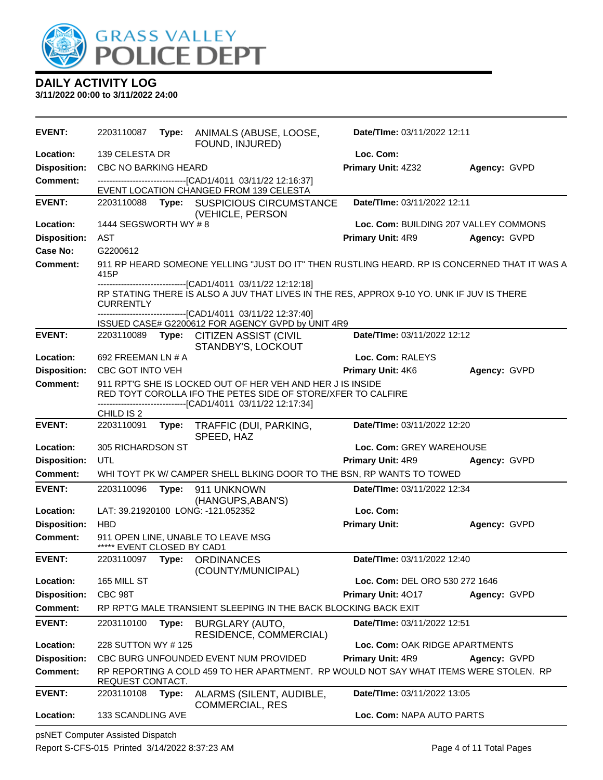

**3/11/2022 00:00 to 3/11/2022 24:00**

| <b>EVENT:</b>       | 2203110087                  |       | Type: ANIMALS (ABUSE, LOOSE,<br>FOUND, INJURED)                                                                                                                                                            | Date/TIme: 03/11/2022 12:11           |              |
|---------------------|-----------------------------|-------|------------------------------------------------------------------------------------------------------------------------------------------------------------------------------------------------------------|---------------------------------------|--------------|
| Location:           | 139 CELESTA DR              |       |                                                                                                                                                                                                            | Loc. Com:                             |              |
| <b>Disposition:</b> | <b>CBC NO BARKING HEARD</b> |       |                                                                                                                                                                                                            | Primary Unit: 4Z32                    | Agency: GVPD |
| <b>Comment:</b>     |                             |       | -------------------------------[CAD1/4011 03/11/22 12:16:37]<br>EVENT LOCATION CHANGED FROM 139 CELESTA                                                                                                    |                                       |              |
| <b>EVENT:</b>       |                             |       | 2203110088 Type: SUSPICIOUS CIRCUMSTANCE<br>(VEHICLE, PERSON                                                                                                                                               | Date/TIme: 03/11/2022 12:11           |              |
| Location:           | 1444 SEGSWORTH WY #8        |       |                                                                                                                                                                                                            | Loc. Com: BUILDING 207 VALLEY COMMONS |              |
| <b>Disposition:</b> | <b>AST</b>                  |       |                                                                                                                                                                                                            | Primary Unit: 4R9                     | Agency: GVPD |
| Case No:            | G2200612                    |       |                                                                                                                                                                                                            |                                       |              |
| <b>Comment:</b>     | 415P                        |       | 911 RP HEARD SOMEONE YELLING "JUST DO IT" THEN RUSTLING HEARD. RP IS CONCERNED THAT IT WAS A                                                                                                               |                                       |              |
|                     | <b>CURRENTLY</b>            |       | --------------------[CAD1/4011_03/11/22 12:12:18]<br>RP STATING THERE IS ALSO A JUV THAT LIVES IN THE RES, APPROX 9-10 YO. UNK IF JUV IS THERE<br>---------------------------[CAD1/4011_03/11/22 12:37:40] |                                       |              |
|                     |                             |       | ISSUED CASE# G2200612 FOR AGENCY GVPD by UNIT 4R9                                                                                                                                                          |                                       |              |
| <b>EVENT:</b>       | 2203110089 Type:            |       | <b>CITIZEN ASSIST (CIVIL</b><br>STANDBY'S, LOCKOUT                                                                                                                                                         | Date/TIme: 03/11/2022 12:12           |              |
| Location:           | 692 FREEMAN LN # A          |       |                                                                                                                                                                                                            | Loc. Com: RALEYS                      |              |
| <b>Disposition:</b> | CBC GOT INTO VEH            |       |                                                                                                                                                                                                            | <b>Primary Unit: 4K6</b>              | Agency: GVPD |
| <b>Comment:</b>     |                             |       | 911 RPT'G SHE IS LOCKED OUT OF HER VEH AND HER J IS INSIDE<br>RED TOYT COROLLA IFO THE PETES SIDE OF STORE/XFER TO CALFIRE<br>-------------------------[CAD1/4011_03/11/22 12:17:34]                       |                                       |              |
|                     | CHILD IS 2                  |       |                                                                                                                                                                                                            |                                       |              |
| <b>EVENT:</b>       | 2203110091                  |       | Type: TRAFFIC (DUI, PARKING,<br>SPEED, HAZ                                                                                                                                                                 | Date/TIme: 03/11/2022 12:20           |              |
| Location:           | 305 RICHARDSON ST           |       |                                                                                                                                                                                                            | Loc. Com: GREY WAREHOUSE              |              |
| <b>Disposition:</b> | UTL                         |       |                                                                                                                                                                                                            | Primary Unit: 4R9                     | Agency: GVPD |
| <b>Comment:</b>     |                             |       | WHI TOYT PK W/ CAMPER SHELL BLKING DOOR TO THE BSN, RP WANTS TO TOWED                                                                                                                                      |                                       |              |
| <b>EVENT:</b>       | 2203110096                  | Type: | 911 UNKNOWN<br>(HANGUPS, ABAN'S)                                                                                                                                                                           | Date/TIme: 03/11/2022 12:34           |              |
| Location:           |                             |       | LAT: 39.21920100 LONG: -121.052352                                                                                                                                                                         | Loc. Com:                             |              |
| <b>Disposition:</b> | <b>HBD</b>                  |       |                                                                                                                                                                                                            | <b>Primary Unit:</b>                  | Agency: GVPD |
| <b>Comment:</b>     | ***** EVENT CLOSED BY CAD1  |       | 911 OPEN LINE, UNABLE TO LEAVE MSG                                                                                                                                                                         |                                       |              |
| <b>EVENT:</b>       | 2203110097 Type:            |       | <b>ORDINANCES</b><br>(COUNTY/MUNICIPAL)                                                                                                                                                                    | Date/TIme: 03/11/2022 12:40           |              |
| Location:           | 165 MILL ST                 |       |                                                                                                                                                                                                            | Loc. Com: DEL ORO 530 272 1646        |              |
| <b>Disposition:</b> | CBC 98T                     |       |                                                                                                                                                                                                            | Primary Unit: 4017                    | Agency: GVPD |
| Comment:            |                             |       | RP RPT'G MALE TRANSIENT SLEEPING IN THE BACK BLOCKING BACK EXIT                                                                                                                                            |                                       |              |
| <b>EVENT:</b>       | 2203110100                  | Type: | BURGLARY (AUTO,<br>RESIDENCE, COMMERCIAL)                                                                                                                                                                  | Date/TIme: 03/11/2022 12:51           |              |
| Location:           | 228 SUTTON WY #125          |       |                                                                                                                                                                                                            | Loc. Com: OAK RIDGE APARTMENTS        |              |
| <b>Disposition:</b> |                             |       | CBC BURG UNFOUNDED EVENT NUM PROVIDED                                                                                                                                                                      | Primary Unit: 4R9                     | Agency: GVPD |
| Comment:            | REQUEST CONTACT.            |       | RP REPORTING A COLD 459 TO HER APARTMENT. RP WOULD NOT SAY WHAT ITEMS WERE STOLEN. RP                                                                                                                      |                                       |              |
| <b>EVENT:</b>       | 2203110108                  | Type: | ALARMS (SILENT, AUDIBLE,<br><b>COMMERCIAL, RES</b>                                                                                                                                                         | Date/TIme: 03/11/2022 13:05           |              |
| Location:           | 133 SCANDLING AVE           |       |                                                                                                                                                                                                            | Loc. Com: NAPA AUTO PARTS             |              |

psNET Computer Assisted Dispatch Report S-CFS-015 Printed 3/14/2022 8:37:23 AM Page 4 of 11 Total Pages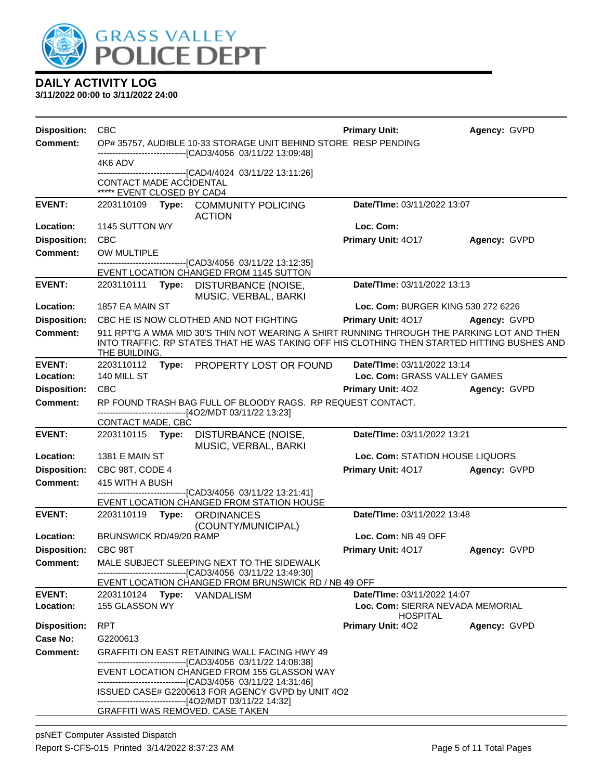

| <b>Disposition:</b> | CBC                                                   |                                                                                                                                                                                           | <b>Primary Unit:</b>                                | Agency: GVPD |
|---------------------|-------------------------------------------------------|-------------------------------------------------------------------------------------------------------------------------------------------------------------------------------------------|-----------------------------------------------------|--------------|
| <b>Comment:</b>     |                                                       | OP# 35757, AUDIBLE 10-33 STORAGE UNIT BEHIND STORE RESP PENDING<br>--------------------[CAD3/4056 03/11/22 13:09:48]                                                                      |                                                     |              |
|                     | 4K6 ADV                                               |                                                                                                                                                                                           |                                                     |              |
|                     | CONTACT MADE ACCIDENTAL<br>***** EVENT CLOSED BY CAD4 | -------------------[CAD4/4024 03/11/22 13:11:26]                                                                                                                                          |                                                     |              |
| <b>EVENT:</b>       | 2203110109                                            | Type: COMMUNITY POLICING<br><b>ACTION</b>                                                                                                                                                 | Date/TIme: 03/11/2022 13:07                         |              |
| Location:           | 1145 SUTTON WY                                        |                                                                                                                                                                                           | Loc. Com:                                           |              |
| <b>Disposition:</b> | <b>CBC</b>                                            |                                                                                                                                                                                           | Primary Unit: 4017                                  | Agency: GVPD |
| Comment:            | OW MULTIPLE                                           |                                                                                                                                                                                           |                                                     |              |
|                     |                                                       | ------------------------[CAD3/4056_03/11/22 13:12:35]<br>EVENT LOCATION CHANGED FROM 1145 SUTTON                                                                                          |                                                     |              |
| <b>EVENT:</b>       |                                                       | 2203110111 Type: DISTURBANCE (NOISE,<br>MUSIC, VERBAL, BARKI                                                                                                                              | Date/TIme: 03/11/2022 13:13                         |              |
| <b>Location:</b>    | 1857 EA MAIN ST                                       |                                                                                                                                                                                           | Loc. Com: BURGER KING 530 272 6226                  |              |
| <b>Disposition:</b> |                                                       | CBC HE IS NOW CLOTHED AND NOT FIGHTING                                                                                                                                                    | <b>Primary Unit: 4017</b>                           | Agency: GVPD |
| <b>Comment:</b>     | THE BUILDING.                                         | 911 RPT'G A WMA MID 30'S THIN NOT WEARING A SHIRT RUNNING THROUGH THE PARKING LOT AND THEN<br>INTO TRAFFIC. RP STATES THAT HE WAS TAKING OFF HIS CLOTHING THEN STARTED HITTING BUSHES AND |                                                     |              |
| <b>EVENT:</b>       | 2203110112                                            | Type: PROPERTY LOST OR FOUND                                                                                                                                                              | Date/TIme: 03/11/2022 13:14                         |              |
| Location:           | 140 MILL ST                                           |                                                                                                                                                                                           | Loc. Com: GRASS VALLEY GAMES                        |              |
| <b>Disposition:</b> | <b>CBC</b>                                            |                                                                                                                                                                                           | <b>Primary Unit: 402</b>                            | Agency: GVPD |
| <b>Comment:</b>     |                                                       | RP FOUND TRASH BAG FULL OF BLOODY RAGS. RP REQUEST CONTACT.<br>------------------------------[4O2/MDT 03/11/22 13:23]                                                                     |                                                     |              |
|                     | CONTACT MADE, CBC                                     |                                                                                                                                                                                           |                                                     |              |
| <b>EVENT:</b>       | 2203110115 <b>Type:</b>                               | DISTURBANCE (NOISE,<br>MUSIC, VERBAL, BARKI                                                                                                                                               | Date/TIme: 03/11/2022 13:21                         |              |
| Location:           | 1381 E MAIN ST                                        |                                                                                                                                                                                           | Loc. Com: STATION HOUSE LIQUORS                     |              |
| <b>Disposition:</b> | CBC 98T, CODE 4                                       |                                                                                                                                                                                           | Primary Unit: 4017                                  | Agency: GVPD |
| <b>Comment:</b>     | 415 WITH A BUSH                                       |                                                                                                                                                                                           |                                                     |              |
|                     |                                                       | -----------------------[CAD3/4056_03/11/22 13:21:41]<br>EVENT LOCATION CHANGED FROM STATION HOUSE                                                                                         |                                                     |              |
| <b>EVENT:</b>       | 2203110119                                            | <b>Type: ORDINANCES</b>                                                                                                                                                                   | Date/TIme: 03/11/2022 13:48                         |              |
|                     |                                                       | (COUNTY/MUNICIPAL)                                                                                                                                                                        |                                                     |              |
| Location:           | BRUNSWICK RD/49/20 RAMP                               |                                                                                                                                                                                           | Loc. Com: NB 49 OFF                                 |              |
| <b>Disposition:</b> | CBC 98T                                               |                                                                                                                                                                                           | Primary Unit: 4017                                  | Agency: GVPD |
| <b>Comment:</b>     |                                                       | MALE SUBJECT SLEEPING NEXT TO THE SIDEWALK<br>------------------------------[CAD3/4056 03/11/22 13:49:30]                                                                                 |                                                     |              |
|                     |                                                       | EVENT LOCATION CHANGED FROM BRUNSWICK RD / NB 49 OFF                                                                                                                                      |                                                     |              |
| <b>EVENT:</b>       | 2203110124 Type: VANDALISM                            |                                                                                                                                                                                           | Date/TIme: 03/11/2022 14:07                         |              |
| Location:           | 155 GLASSON WY                                        |                                                                                                                                                                                           | Loc. Com: SIERRA NEVADA MEMORIAL<br><b>HOSPITAL</b> |              |
| <b>Disposition:</b> | <b>RPT</b>                                            |                                                                                                                                                                                           | Primary Unit: 402                                   | Agency: GVPD |
| Case No:            | G2200613                                              |                                                                                                                                                                                           |                                                     |              |
| Comment:            |                                                       | <b>GRAFFITI ON EAST RETAINING WALL FACING HWY 49</b>                                                                                                                                      |                                                     |              |
|                     |                                                       | -------------------------------[CAD3/4056_03/11/22 14:08:38]<br>EVENT LOCATION CHANGED FROM 155 GLASSON WAY<br>--------------------------------[CAD3/4056 03/11/22 14:31:46]              |                                                     |              |
|                     |                                                       | ISSUED CASE# G2200613 FOR AGENCY GVPD by UNIT 4O2                                                                                                                                         |                                                     |              |
|                     | <b>GRAFFITI WAS REMOVED. CASE TAKEN</b>               | -------------------------------[4O2/MDT 03/11/22 14:32]                                                                                                                                   |                                                     |              |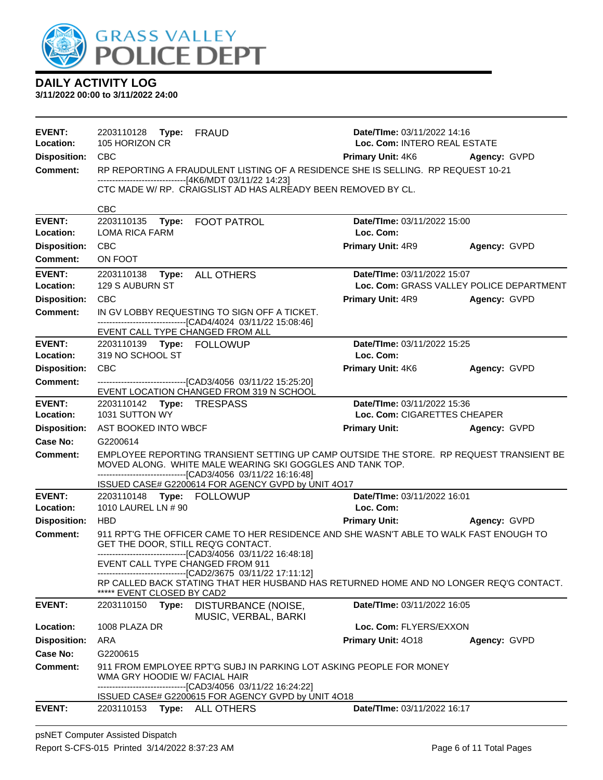

| <b>EVENT:</b><br>Location: | 2203110128 Type: FRAUD<br>105 HORIZON CR                                                                                                                                                                               | Date/Time: 03/11/2022 14:16<br>Loc. Com: INTERO REAL ESTATE |                                          |
|----------------------------|------------------------------------------------------------------------------------------------------------------------------------------------------------------------------------------------------------------------|-------------------------------------------------------------|------------------------------------------|
| <b>Disposition:</b>        | <b>CBC</b>                                                                                                                                                                                                             | <b>Primary Unit: 4K6 Agency: GVPD</b>                       |                                          |
| <b>Comment:</b>            | RP REPORTING A FRAUDULENT LISTING OF A RESIDENCE SHE IS SELLING. RP REQUEST 10-21                                                                                                                                      |                                                             |                                          |
|                            | ------------------------------[4K6/MDT 03/11/22 14:23]                                                                                                                                                                 |                                                             |                                          |
|                            | CTC MADE W/ RP. CRAIGSLIST AD HAS ALREADY BEEN REMOVED BY CL.                                                                                                                                                          |                                                             |                                          |
|                            | <b>CBC</b>                                                                                                                                                                                                             |                                                             |                                          |
| <b>EVENT:</b><br>Location: | 2203110135    Type: FOOT PATROL<br><b>LOMA RICA FARM</b>                                                                                                                                                               | Date/TIme: 03/11/2022 15:00<br>Loc. Com:                    |                                          |
| <b>Disposition:</b>        | <b>CBC</b>                                                                                                                                                                                                             | <b>Primary Unit: 4R9</b>                                    | Agency: GVPD                             |
| <b>Comment:</b>            | ON FOOT                                                                                                                                                                                                                |                                                             |                                          |
| <b>EVENT:</b><br>Location: | 2203110138 Type: ALL OTHERS<br>129 S AUBURN ST                                                                                                                                                                         | Date/TIme: 03/11/2022 15:07                                 | Loc. Com: GRASS VALLEY POLICE DEPARTMENT |
| <b>Disposition:</b>        | CBC                                                                                                                                                                                                                    | <b>Primary Unit: 4R9 Agency: GVPD</b>                       |                                          |
| <b>Comment:</b>            | IN GV LOBBY REQUESTING TO SIGN OFF A TICKET.                                                                                                                                                                           |                                                             |                                          |
|                            | ---------------------------------[CAD4/4024 03/11/22 15:08:46]<br>EVENT CALL TYPE CHANGED FROM ALL                                                                                                                     |                                                             |                                          |
| <b>EVENT:</b>              |                                                                                                                                                                                                                        | Date/TIme: 03/11/2022 15:25                                 |                                          |
| Location:                  | 319 NO SCHOOL ST                                                                                                                                                                                                       | Loc. Com:                                                   |                                          |
| <b>Disposition:</b>        | <b>CBC</b>                                                                                                                                                                                                             | Primary Unit: 4K6                                           | Agency: GVPD                             |
| Comment:                   |                                                                                                                                                                                                                        |                                                             |                                          |
|                            | EVENT LOCATION CHANGED FROM 319 N SCHOOL                                                                                                                                                                               |                                                             |                                          |
| <b>EVENT:</b>              | 2203110142 Type: TRESPASS                                                                                                                                                                                              | Date/TIme: 03/11/2022 15:36                                 |                                          |
| Location:                  | 1031 SUTTON WY                                                                                                                                                                                                         | Loc. Com: CIGARETTES CHEAPER                                |                                          |
| <b>Disposition:</b>        | AST BOOKED INTO WBCF                                                                                                                                                                                                   | <b>Primary Unit:</b>                                        | Agency: GVPD                             |
| Case No:                   | G2200614                                                                                                                                                                                                               |                                                             |                                          |
| <b>Comment:</b>            | EMPLOYEE REPORTING TRANSIENT SETTING UP CAMP OUTSIDE THE STORE. RP REQUEST TRANSIENT BE<br>MOVED ALONG. WHITE MALE WEARING SKI GOGGLES AND TANK TOP.<br>---------------------------------[CAD3/4056 03/11/22 16:16:48] |                                                             |                                          |
|                            | ISSUED CASE# G2200614 FOR AGENCY GVPD by UNIT 4O17                                                                                                                                                                     |                                                             |                                          |
| <b>EVENT:</b>              | 2203110148    Type: FOLLOWUP                                                                                                                                                                                           | Date/TIme: 03/11/2022 16:01                                 |                                          |
| Location:                  | 1010 LAUREL LN # 90                                                                                                                                                                                                    | Loc. Com:                                                   |                                          |
| <b>Disposition:</b>        | <b>HBD</b>                                                                                                                                                                                                             | <b>Primary Unit:</b>                                        | Agency: GVPD                             |
| <b>Comment:</b>            | 911 RPT'G THE OFFICER CAME TO HER RESIDENCE AND SHE WASN'T ABLE TO WALK FAST ENOUGH TO<br>GET THE DOOR, STILL REQ'G CONTACT.<br>---------------------------------[CAD3/4056 03/11/22 16:48:18]                         |                                                             |                                          |
|                            | EVENT CALL TYPE CHANGED FROM 911                                                                                                                                                                                       |                                                             |                                          |
|                            | -------------------------------[CAD2/3675 03/11/22 17:11:12]<br>RP CALLED BACK STATING THAT HER HUSBAND HAS RETURNED HOME AND NO LONGER REQ'G CONTACT.<br>***** EVENT CLOSED BY CAD2                                   |                                                             |                                          |
| <b>EVENT:</b>              | 2203110150<br>DISTURBANCE (NOISE,<br>Type:                                                                                                                                                                             | Date/TIme: 03/11/2022 16:05                                 |                                          |
| Location:                  | MUSIC, VERBAL, BARKI<br>1008 PLAZA DR                                                                                                                                                                                  | Loc. Com: FLYERS/EXXON                                      |                                          |
| <b>Disposition:</b>        | ARA                                                                                                                                                                                                                    | Primary Unit: 4018                                          | Agency: GVPD                             |
| Case No:                   | G2200615                                                                                                                                                                                                               |                                                             |                                          |
| <b>Comment:</b>            | 911 FROM EMPLOYEE RPT'G SUBJ IN PARKING LOT ASKING PEOPLE FOR MONEY                                                                                                                                                    |                                                             |                                          |
|                            | WMA GRY HOODIE W/ FACIAL HAIR                                                                                                                                                                                          |                                                             |                                          |
|                            | ----------------------------[CAD3/4056_03/11/22 16:24:22]                                                                                                                                                              |                                                             |                                          |
| <b>EVENT:</b>              | ISSUED CASE# G2200615 FOR AGENCY GVPD by UNIT 4O18<br>Type: ALL OTHERS<br>2203110153                                                                                                                                   | Date/TIme: 03/11/2022 16:17                                 |                                          |
|                            |                                                                                                                                                                                                                        |                                                             |                                          |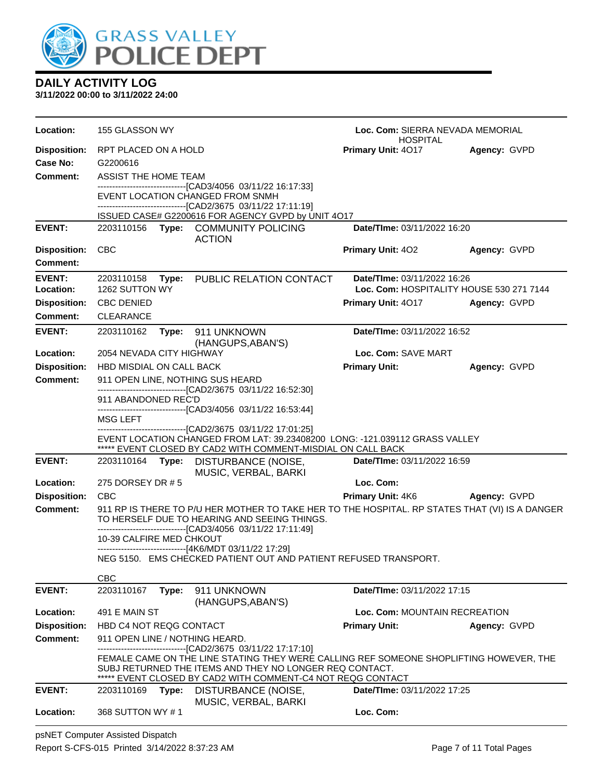

**3/11/2022 00:00 to 3/11/2022 24:00**

| Location:           | 155 GLASSON WY                   |                                                                                                                                                   | Loc. Com: SIERRA NEVADA MEMORIAL<br><b>HOSPITAL</b> |                     |
|---------------------|----------------------------------|---------------------------------------------------------------------------------------------------------------------------------------------------|-----------------------------------------------------|---------------------|
| <b>Disposition:</b> | RPT PLACED ON A HOLD             |                                                                                                                                                   | Primary Unit: 4017<br>Agency: GVPD                  |                     |
| Case No:            | G2200616                         |                                                                                                                                                   |                                                     |                     |
| <b>Comment:</b>     | ASSIST THE HOME TEAM             |                                                                                                                                                   |                                                     |                     |
|                     |                                  | --------------------------------[CAD3/4056 03/11/22 16:17:33]<br>EVENT LOCATION CHANGED FROM SNMH                                                 |                                                     |                     |
|                     |                                  | -------------------------------[CAD2/3675 03/11/22 17:11:19]                                                                                      |                                                     |                     |
|                     |                                  | ISSUED CASE# G2200616 FOR AGENCY GVPD by UNIT 4O17                                                                                                |                                                     |                     |
| <b>EVENT:</b>       | 2203110156                       | Type: COMMUNITY POLICING<br><b>ACTION</b>                                                                                                         | Date/TIme: 03/11/2022 16:20                         |                     |
| <b>Disposition:</b> | <b>CBC</b>                       |                                                                                                                                                   | <b>Primary Unit: 402</b>                            | Agency: GVPD        |
| <b>Comment:</b>     |                                  |                                                                                                                                                   |                                                     |                     |
| <b>EVENT:</b>       | 2203110158<br>Type:              | PUBLIC RELATION CONTACT                                                                                                                           | Date/TIme: 03/11/2022 16:26                         |                     |
| Location:           | 1262 SUTTON WY                   |                                                                                                                                                   | Loc. Com: HOSPITALITY HOUSE 530 271 7144            |                     |
| <b>Disposition:</b> | <b>CBC DENIED</b>                |                                                                                                                                                   | <b>Primary Unit: 4017</b>                           | Agency: GVPD        |
| <b>Comment:</b>     | <b>CLEARANCE</b>                 |                                                                                                                                                   |                                                     |                     |
| <b>EVENT:</b>       | 2203110162<br>Type:              | 911 UNKNOWN                                                                                                                                       | Date/TIme: 03/11/2022 16:52                         |                     |
| Location:           | 2054 NEVADA CITY HIGHWAY         | (HANGUPS, ABAN'S)                                                                                                                                 | Loc. Com: SAVE MART                                 |                     |
| <b>Disposition:</b> | <b>HBD MISDIAL ON CALL BACK</b>  |                                                                                                                                                   | <b>Primary Unit:</b>                                | Agency: GVPD        |
| <b>Comment:</b>     | 911 OPEN LINE, NOTHING SUS HEARD |                                                                                                                                                   |                                                     |                     |
|                     | 911 ABANDONED REC'D              | --------------------------------[CAD2/3675 03/11/22 16:52:30]                                                                                     |                                                     |                     |
|                     |                                  | ------------------------------[CAD3/4056 03/11/22 16:53:44]                                                                                       |                                                     |                     |
|                     | MSG LEFT                         |                                                                                                                                                   |                                                     |                     |
|                     |                                  | --------------------------------[CAD2/3675 03/11/22 17:01:25]<br>EVENT LOCATION CHANGED FROM LAT: 39.23408200 LONG: -121.039112 GRASS VALLEY      |                                                     |                     |
|                     |                                  | ***** EVENT CLOSED BY CAD2 WITH COMMENT-MISDIAL ON CALL BACK                                                                                      |                                                     |                     |
| <b>EVENT:</b>       | 2203110164 <b>Type:</b>          | DISTURBANCE (NOISE,<br>MUSIC, VERBAL, BARKI                                                                                                       | Date/TIme: 03/11/2022 16:59                         |                     |
| Location:           | 275 DORSEY DR # 5                |                                                                                                                                                   | Loc. Com:                                           |                     |
| <b>Disposition:</b> | <b>CBC</b>                       |                                                                                                                                                   | Primary Unit: 4K6                                   | <b>Agency: GVPD</b> |
| <b>Comment:</b>     |                                  | 911 RP IS THERE TO P/U HER MOTHER TO TAKE HER TO THE HOSPITAL. RP STATES THAT (VI) IS A DANGER                                                    |                                                     |                     |
|                     |                                  | TO HERSELF DUE TO HEARING AND SEEING THINGS.<br>------------------------[CAD3/4056_03/11/22 17:11:49]                                             |                                                     |                     |
|                     | 10-39 CALFIRE MED CHKOUT         |                                                                                                                                                   |                                                     |                     |
|                     |                                  | ------------------------------[4K6/MDT 03/11/22 17:29]                                                                                            |                                                     |                     |
|                     |                                  | NEG 5150. EMS CHECKED PATIENT OUT AND PATIENT REFUSED TRANSPORT.                                                                                  |                                                     |                     |
|                     | <b>CBC</b>                       |                                                                                                                                                   |                                                     |                     |
| <b>EVENT:</b>       | 2203110167<br>Type:              | 911 UNKNOWN<br>(HANGUPS, ABAN'S)                                                                                                                  | Date/TIme: 03/11/2022 17:15                         |                     |
| Location:           | 491 E MAIN ST                    |                                                                                                                                                   | Loc. Com: MOUNTAIN RECREATION                       |                     |
| <b>Disposition:</b> | HBD C4 NOT REQG CONTACT          |                                                                                                                                                   | <b>Primary Unit:</b>                                | Agency: GVPD        |
| <b>Comment:</b>     | 911 OPEN LINE / NOTHING HEARD.   |                                                                                                                                                   |                                                     |                     |
|                     |                                  | -----------------[CAD2/3675_03/11/22 17:17:10]                                                                                                    |                                                     |                     |
|                     |                                  | FEMALE CAME ON THE LINE STATING THEY WERE CALLING REF SOMEONE SHOPLIFTING HOWEVER, THE<br>SUBJ RETURNED THE ITEMS AND THEY NO LONGER REQ CONTACT. |                                                     |                     |
|                     |                                  | ***** EVENT CLOSED BY CAD2 WITH COMMENT-C4 NOT REQG CONTACT                                                                                       |                                                     |                     |
| <b>EVENT:</b>       | 2203110169<br>Type:              | DISTURBANCE (NOISE,                                                                                                                               | Date/TIme: 03/11/2022 17:25                         |                     |
| Location:           | 368 SUTTON WY #1                 | MUSIC, VERBAL, BARKI                                                                                                                              | Loc. Com:                                           |                     |
|                     |                                  |                                                                                                                                                   |                                                     |                     |

psNET Computer Assisted Dispatch Report S-CFS-015 Printed 3/14/2022 8:37:23 AM Page 7 of 11 Total Pages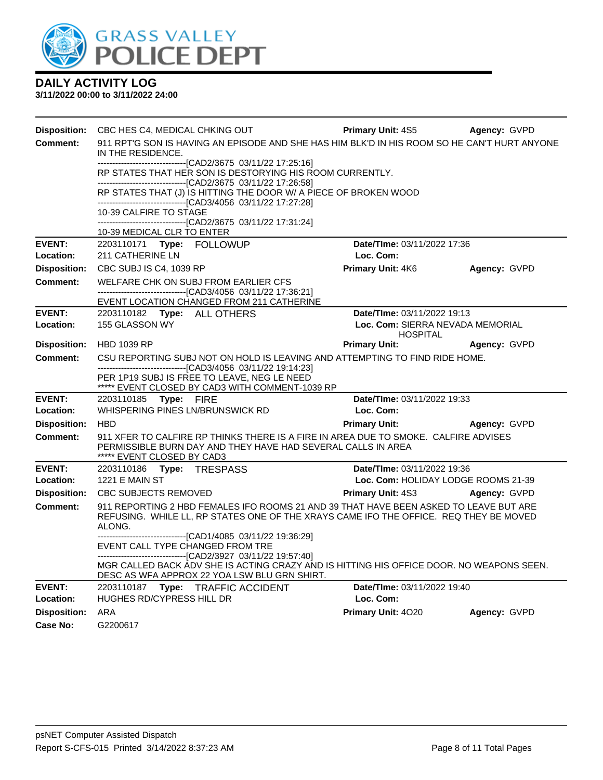

| <b>Disposition:</b>        | CBC HES C4, MEDICAL CHKING OUT                                                                                                                                                             | <b>Primary Unit: 4S5</b>                            | Agency: GVPD |  |  |  |
|----------------------------|--------------------------------------------------------------------------------------------------------------------------------------------------------------------------------------------|-----------------------------------------------------|--------------|--|--|--|
| <b>Comment:</b>            | 911 RPT'G SON IS HAVING AN EPISODE AND SHE HAS HIM BLK'D IN HIS ROOM SO HE CAN'T HURT ANYONE<br>IN THE RESIDENCE.                                                                          |                                                     |              |  |  |  |
|                            | --------------------------------[CAD2/3675 03/11/22 17:25:16]<br>RP STATES THAT HER SON IS DESTORYING HIS ROOM CURRENTLY.<br>--------------------------------[CAD2/3675 03/11/22 17:26:58] |                                                     |              |  |  |  |
|                            | RP STATES THAT (J) IS HITTING THE DOOR W/ A PIECE OF BROKEN WOOD<br>-------------------------------[CAD3/4056 03/11/22 17:27:28]                                                           |                                                     |              |  |  |  |
|                            | 10-39 CALFIRE TO STAGE<br>-------------------------[CAD2/3675_03/11/22 17:31:24]                                                                                                           |                                                     |              |  |  |  |
| <b>EVENT:</b>              | 10-39 MEDICAL CLR TO ENTER                                                                                                                                                                 | Date/TIme: 03/11/2022 17:36                         |              |  |  |  |
| Location:                  | 2203110171 Type: FOLLOWUP<br>211 CATHERINE LN                                                                                                                                              | Loc. Com:                                           |              |  |  |  |
| <b>Disposition:</b>        | CBC SUBJ IS C4, 1039 RP                                                                                                                                                                    | <b>Primary Unit: 4K6</b>                            | Agency: GVPD |  |  |  |
| <b>Comment:</b>            | WELFARE CHK ON SUBJ FROM EARLIER CFS                                                                                                                                                       |                                                     |              |  |  |  |
|                            | -------------------------------[CAD3/4056 03/11/22 17:36:21]<br>EVENT LOCATION CHANGED FROM 211 CATHERINE                                                                                  |                                                     |              |  |  |  |
| <b>EVENT:</b>              | 2203110182 Type: ALL OTHERS                                                                                                                                                                | Date/TIme: 03/11/2022 19:13                         |              |  |  |  |
| Location:                  | 155 GLASSON WY                                                                                                                                                                             | Loc. Com: SIERRA NEVADA MEMORIAL<br><b>HOSPITAL</b> |              |  |  |  |
| <b>Disposition:</b>        | <b>HBD 1039 RP</b>                                                                                                                                                                         | <b>Primary Unit:</b>                                | Agency: GVPD |  |  |  |
| Comment:                   | CSU REPORTING SUBJ NOT ON HOLD IS LEAVING AND ATTEMPTING TO FIND RIDE HOME.                                                                                                                |                                                     |              |  |  |  |
|                            | -------------------------------[CAD3/4056 03/11/22 19:14:23]<br>PER 1P19 SUBJ IS FREE TO LEAVE, NEG LE NEED<br>***** EVENT CLOSED BY CAD3 WITH COMMENT-1039 RP                             |                                                     |              |  |  |  |
| <b>EVENT:</b><br>Location: | 2203110185 Type: FIRE<br>WHISPERING PINES LN/BRUNSWICK RD                                                                                                                                  | Date/TIme: 03/11/2022 19:33<br>Loc. Com:            |              |  |  |  |
| <b>Disposition:</b>        | <b>HBD</b>                                                                                                                                                                                 | <b>Primary Unit:</b>                                | Agency: GVPD |  |  |  |
| <b>Comment:</b>            | 911 XFER TO CALFIRE RP THINKS THERE IS A FIRE IN AREA DUE TO SMOKE. CALFIRE ADVISES<br>PERMISSIBLE BURN DAY AND THEY HAVE HAD SEVERAL CALLS IN AREA<br>***** EVENT CLOSED BY CAD3          |                                                     |              |  |  |  |
| <b>EVENT:</b>              | 2203110186    Type: TRESPASS                                                                                                                                                               | Date/TIme: 03/11/2022 19:36                         |              |  |  |  |
| Location:                  | <b>1221 E MAIN ST</b>                                                                                                                                                                      | Loc. Com: HOLIDAY LODGE ROOMS 21-39                 |              |  |  |  |
| <b>Disposition:</b>        | <b>CBC SUBJECTS REMOVED</b>                                                                                                                                                                | Primary Unit: 4S3                                   | Agency: GVPD |  |  |  |
| <b>Comment:</b>            | 911 REPORTING 2 HBD FEMALES IFO ROOMS 21 AND 39 THAT HAVE BEEN ASKED TO LEAVE BUT ARE<br>REFUSING. WHILE LL, RP STATES ONE OF THE XRAYS CAME IFO THE OFFICE. REQ THEY BE MOVED<br>ALONG.   |                                                     |              |  |  |  |
|                            | ---------------------------------[CAD1/4085_03/11/22 19:36:29]<br>EVENT CALL TYPE CHANGED FROM TRE<br>-------------------------------[CAD2/3927 03/11/22 19:57:40]                         |                                                     |              |  |  |  |
|                            | MGR CALLED BACK ADV SHE IS ACTING CRAZY AND IS HITTING HIS OFFICE DOOR. NO WEAPONS SEEN.<br>DESC AS WFA APPROX 22 YOA LSW BLU GRN SHIRT.                                                   |                                                     |              |  |  |  |
| <b>EVENT:</b><br>Location: | 2203110187 Type: TRAFFIC ACCIDENT<br>HUGHES RD/CYPRESS HILL DR                                                                                                                             | Date/TIme: 03/11/2022 19:40<br>Loc. Com:            |              |  |  |  |
| <b>Disposition:</b>        | ARA                                                                                                                                                                                        | Primary Unit: 4020                                  | Agency: GVPD |  |  |  |
| Case No:                   | G2200617                                                                                                                                                                                   |                                                     |              |  |  |  |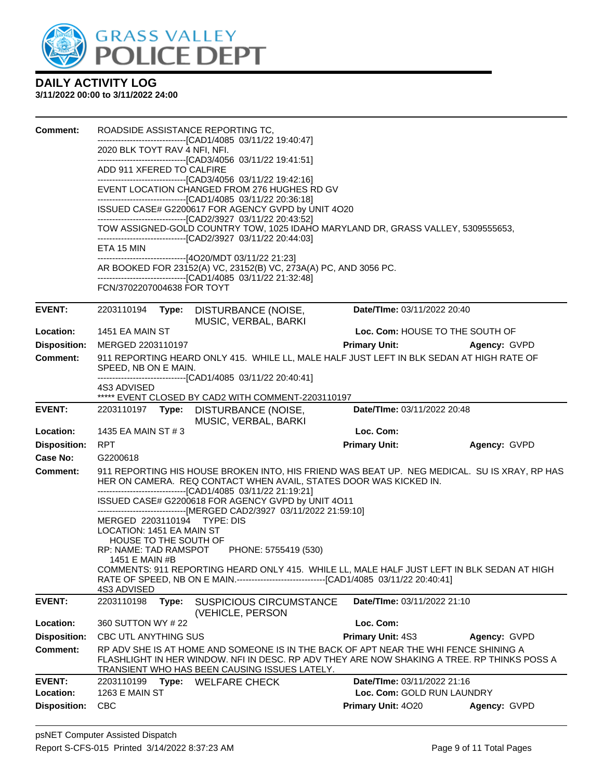

| <b>Comment:</b>     | ROADSIDE ASSISTANCE REPORTING TC,                                                                                                                                                                                                 |                                    |              |  |  |
|---------------------|-----------------------------------------------------------------------------------------------------------------------------------------------------------------------------------------------------------------------------------|------------------------------------|--------------|--|--|
|                     | -------------------------------[CAD1/4085 03/11/22 19:40:47]<br>2020 BLK TOYT RAV 4 NFI, NFI.                                                                                                                                     |                                    |              |  |  |
|                     | -------------------------------[CAD3/4056 03/11/22 19:41:51]                                                                                                                                                                      |                                    |              |  |  |
|                     | ADD 911 XFERED TO CALFIRE<br>------------------------------[CAD3/4056 03/11/22 19:42:16]                                                                                                                                          |                                    |              |  |  |
|                     | EVENT LOCATION CHANGED FROM 276 HUGHES RD GV<br>-------------------------------[CAD1/4085 03/11/22 20:36:18]                                                                                                                      |                                    |              |  |  |
|                     | ISSUED CASE# G2200617 FOR AGENCY GVPD by UNIT 4O20<br>-------------------------------[CAD2/3927 03/11/22 20:43:52]                                                                                                                |                                    |              |  |  |
|                     | TOW ASSIGNED-GOLD COUNTRY TOW, 1025 IDAHO MARYLAND DR, GRASS VALLEY, 5309555653,                                                                                                                                                  |                                    |              |  |  |
|                     | -------------------------------[CAD2/3927 03/11/22 20:44:03]<br>ETA 15 MIN<br>-------------------------------[4O20/MDT 03/11/22 21:23]                                                                                            |                                    |              |  |  |
|                     | AR BOOKED FOR 23152(A) VC, 23152(B) VC, 273A(A) PC, AND 3056 PC.<br>-------------------------------[CAD1/4085 03/11/22 21:32:48]                                                                                                  |                                    |              |  |  |
|                     | FCN/3702207004638 FOR TOYT                                                                                                                                                                                                        |                                    |              |  |  |
| <b>EVENT:</b>       | 2203110194<br>Type: DISTURBANCE (NOISE,<br>MUSIC, VERBAL, BARKI                                                                                                                                                                   | Date/TIme: 03/11/2022 20:40        |              |  |  |
| Location:           | 1451 EA MAIN ST                                                                                                                                                                                                                   | Loc. Com: HOUSE TO THE SOUTH OF    |              |  |  |
| <b>Disposition:</b> | MERGED 2203110197                                                                                                                                                                                                                 | <b>Primary Unit:</b>               | Agency: GVPD |  |  |
| <b>Comment:</b>     | 911 REPORTING HEARD ONLY 415. WHILE LL, MALE HALF JUST LEFT IN BLK SEDAN AT HIGH RATE OF<br>SPEED, NB ON E MAIN.                                                                                                                  |                                    |              |  |  |
|                     | -------------------------------[CAD1/4085 03/11/22 20:40:41]<br>4S3 ADVISED                                                                                                                                                       |                                    |              |  |  |
|                     | ***** EVENT CLOSED BY CAD2 WITH COMMENT-2203110197                                                                                                                                                                                |                                    |              |  |  |
| <b>EVENT:</b>       | 2203110197 Type: DISTURBANCE (NOISE,<br>MUSIC, VERBAL, BARKI                                                                                                                                                                      | Date/TIme: 03/11/2022 20:48        |              |  |  |
| Location:           | 1435 EA MAIN ST # 3                                                                                                                                                                                                               | Loc. Com:                          |              |  |  |
| <b>Disposition:</b> | <b>RPT</b>                                                                                                                                                                                                                        | <b>Primary Unit:</b>               | Agency: GVPD |  |  |
| Case No:            | G2200618                                                                                                                                                                                                                          |                                    |              |  |  |
| <b>Comment:</b>     | 911 REPORTING HIS HOUSE BROKEN INTO, HIS FRIEND WAS BEAT UP. NEG MEDICAL. SU IS XRAY, RP HAS<br>HER ON CAMERA. REQ CONTACT WHEN AVAIL, STATES DOOR WAS KICKED IN.<br>-------------------------------[CAD1/4085 03/11/22 21:19:21] |                                    |              |  |  |
|                     | ISSUED CASE# G2200618 FOR AGENCY GVPD by UNIT 4O11<br>------------------------------[MERGED CAD2/3927 03/11/2022 21:59:10]                                                                                                        |                                    |              |  |  |
|                     | MERGED 2203110194 TYPE: DIS                                                                                                                                                                                                       |                                    |              |  |  |
|                     | LOCATION: 1451 EA MAIN ST<br>HOUSE TO THE SOUTH OF                                                                                                                                                                                |                                    |              |  |  |
|                     | RP: NAME: TAD RAMSPOT PHONE: 5755419 (530)                                                                                                                                                                                        |                                    |              |  |  |
|                     | 1451 E MAIN #B<br>COMMENTS: 911 REPORTING HEARD ONLY 415. WHILE LL, MALE HALF JUST LEFT IN BLK SEDAN AT HIGH                                                                                                                      |                                    |              |  |  |
|                     | RATE OF SPEED, NB ON E MAIN.---------------------------------[CAD1/4085 03/11/22 20:40:41]<br>4S3 ADVISED                                                                                                                         |                                    |              |  |  |
| <b>EVENT:</b>       | 2203110198<br><b>SUSPICIOUS CIRCUMSTANCE</b><br>Type:<br>(VEHICLE, PERSON                                                                                                                                                         | Date/TIme: 03/11/2022 21:10        |              |  |  |
| Location:           | 360 SUTTON WY #22                                                                                                                                                                                                                 | Loc. Com:                          |              |  |  |
| <b>Disposition:</b> | CBC UTL ANYTHING SUS                                                                                                                                                                                                              | Primary Unit: 4S3                  | Agency: GVPD |  |  |
| Comment:            | RP ADV SHE IS AT HOME AND SOMEONE IS IN THE BACK OF APT NEAR THE WHI FENCE SHINING A<br>FLASHLIGHT IN HER WINDOW. NFI IN DESC. RP ADV THEY ARE NOW SHAKING A TREE. RP THINKS POSS A                                               |                                    |              |  |  |
| <b>EVENT:</b>       | TRANSIENT WHO HAS BEEN CAUSING ISSUES LATELY.<br>Type:<br><b>WELFARE CHECK</b><br>2203110199                                                                                                                                      | <b>Date/Time: 03/11/2022 21:16</b> |              |  |  |
| Location:           | 1263 E MAIN ST                                                                                                                                                                                                                    | Loc. Com: GOLD RUN LAUNDRY         |              |  |  |
| <b>Disposition:</b> | <b>CBC</b>                                                                                                                                                                                                                        | <b>Primary Unit: 4020</b>          | Agency: GVPD |  |  |
|                     |                                                                                                                                                                                                                                   |                                    |              |  |  |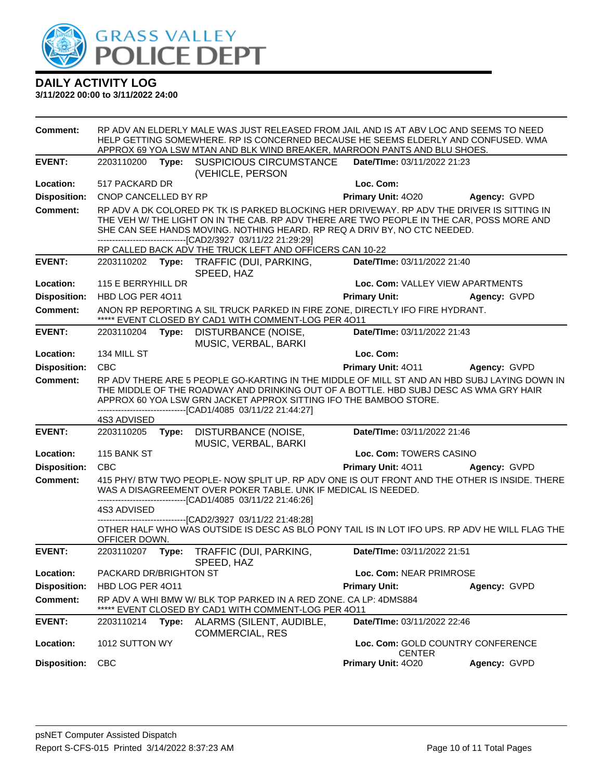

**3/11/2022 00:00 to 3/11/2022 24:00**

**Comment:** RP ADV AN ELDERLY MALE WAS JUST RELEASED FROM JAIL AND IS AT ABV LOC AND SEEMS TO NEED HELP GETTING SOMEWHERE. RP IS CONCERNED BECAUSE HE SEEMS ELDERLY AND CONFUSED. WMA APPROX 69 YOA LSW MTAN AND BLK WIND BREAKER, MARROON PANTS AND BLU SHOES. **EVENT:** 2203110200 **Type:** SUSPICIOUS CIRCUMSTANCE (VEHICLE, PERSON **Date/TIme:** 03/11/2022 21:23 **Location:** 517 PACKARD DR **Loc. Com: Disposition:** CNOP CANCELLED BY RP **Primary Unit:** 4O20 **Agency:** GVPD **Comment:** RP ADV A DK COLORED PK TK IS PARKED BLOCKING HER DRIVEWAY. RP ADV THE DRIVER IS SITTING IN THE VEH W/ THE LIGHT ON IN THE CAB. RP ADV THERE ARE TWO PEOPLE IN THE CAR, POSS MORE AND SHE CAN SEE HANDS MOVING. NOTHING HEARD. RP REQ A DRIV BY, NO CTC NEEDED. ------------------------------[CAD2/3927 03/11/22 21:29:29] RP CALLED BACK ADV THE TRUCK LEFT AND OFFICERS CAN 10-22 **EVENT:** 2203110202 **Type:** TRAFFIC (DUI, PARKING, SPEED, HAZ **Date/TIme:** 03/11/2022 21:40 **Location:** 115 E BERRYHILL DR **Loc. Com:** VALLEY VIEW APARTMENTS **Disposition:** HBD LOG PER 4O11 **Primary Unit: Agency:** GVPD **Comment:** ANON RP REPORTING A SIL TRUCK PARKED IN FIRE ZONE, DIRECTLY IFO FIRE HYDRANT. \*\*\*\*\* EVENT CLOSED BY CAD1 WITH COMMENT-LOG PER 4O11 **EVENT:** 2203110204 **Type:** DISTURBANCE (NOISE, MUSIC, VERBAL, BARKI **Date/TIme:** 03/11/2022 21:43 **Location:** 134 MILL ST **Loc. Com: Disposition:** CBC **Primary Unit:** 4O11 **Agency:** GVPD **Comment:** RP ADV THERE ARE 5 PEOPLE GO-KARTING IN THE MIDDLE OF MILL ST AND AN HBD SUBJ LAYING DOWN IN THE MIDDLE OF THE ROADWAY AND DRINKING OUT OF A BOTTLE. HBD SUBJ DESC AS WMA GRY HAIR APPROX 60 YOA LSW GRN JACKET APPROX SITTING IFO THE BAMBOO STORE. ------------------------------[CAD1/4085 03/11/22 21:44:27] 4S3 ADVISED **EVENT:** 2203110205 **Type:** DISTURBANCE (NOISE, MUSIC, VERBAL, BARKI **Date/TIme:** 03/11/2022 21:46 **Location:** 115 BANK ST **Loc. Com:** TOWERS CASINO **Disposition:** CBC **Primary Unit:** 4O11 **Agency:** GVPD **Comment:** 415 PHY/ BTW TWO PEOPLE- NOW SPLIT UP. RP ADV ONE IS OUT FRONT AND THE OTHER IS INSIDE. THERE WAS A DISAGREEMENT OVER POKER TABLE. UNK IF MEDICAL IS NEEDED. ----[CAD1/4085 03/11/22 21:46:26] 4S3 ADVISED ------------------------------[CAD2/3927 03/11/22 21:48:28] OTHER HALF WHO WAS OUTSIDE IS DESC AS BLO PONY TAIL IS IN LOT IFO UPS. RP ADV HE WILL FLAG THE OFFICER DOWN. **EVENT:** 2203110207 **Type:** TRAFFIC (DUI, PARKING, SPEED, HAZ **Date/TIme:** 03/11/2022 21:51 **Location:** PACKARD DR/BRIGHTON ST **Loc. Com:** NEAR PRIMROSE **Disposition:** HBD LOG PER 4O11 **Primary Unit: Agency:** GVPD **Comment:** RP ADV A WHI BMW W/ BLK TOP PARKED IN A RED ZONE. CA LP: 4DMS884 \*\*\*\*\* EVENT CLOSED BY CAD1 WITH COMMENT-LOG PER 4O11 **EVENT:** 2203110214 **Type:** ALARMS (SILENT, AUDIBLE, COMMERCIAL, RES **Date/TIme:** 03/11/2022 22:46 **Location:** 1012 SUTTON WY **Loc. Com:** GOLD COUNTRY CONFERENCE CENTER **Disposition:** CBC **Primary Unit:** 4O20 **Agency:** GVPD